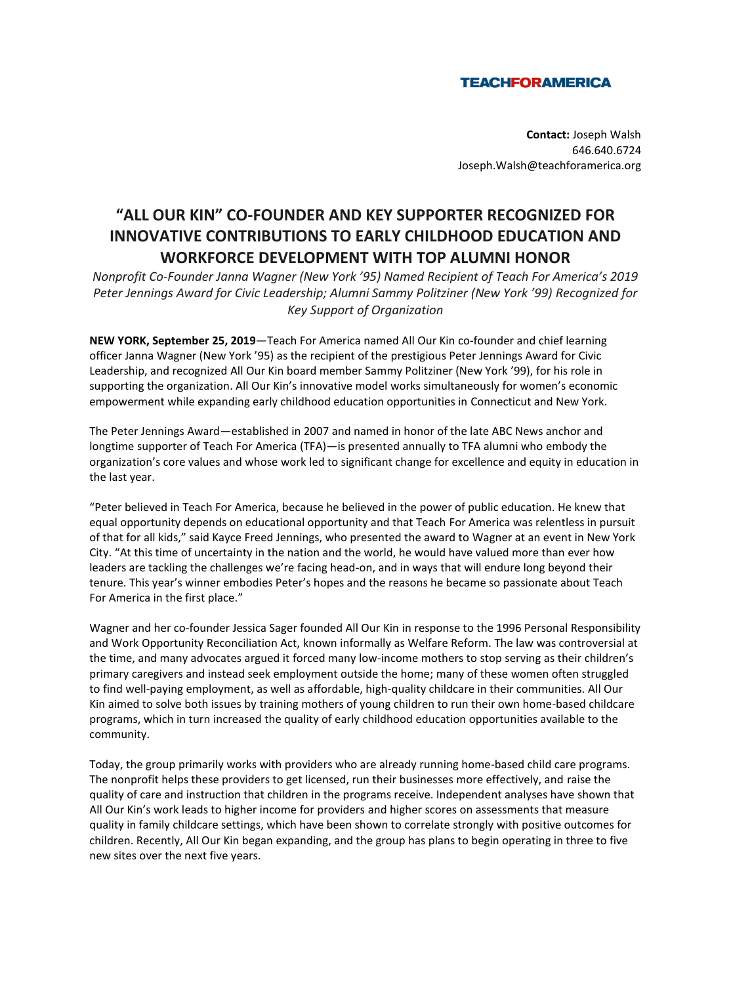## **TEACHFORAMERICA**

**Contact:** Joseph Walsh 646.640.6724 Joseph.Walsh@teachforamerica.org

## **"ALL OUR KIN" CO-FOUNDER AND KEY SUPPORTER RECOGNIZED FOR INNOVATIVE CONTRIBUTIONS TO EARLY CHILDHOOD EDUCATION AND WORKFORCE DEVELOPMENT WITH TOP ALUMNI HONOR**

*Nonprofit Co-Founder Janna Wagner (New York '95) Named Recipient of Teach For America's 2019 Peter Jennings Award for Civic Leadership; Alumni Sammy Politziner (New York '99) Recognized for Key Support of Organization*

**NEW YORK, September 25, 2019**—Teach For America named All Our Kin co-founder and chief learning officer Janna Wagner (New York '95) as the recipient of the prestigious Peter Jennings Award for Civic Leadership, and recognized All Our Kin board member Sammy Politziner (New York '99), for his role in supporting the organization. All Our Kin's innovative model works simultaneously for women's economic empowerment while expanding early childhood education opportunities in Connecticut and New York.

The Peter Jennings Award—established in 2007 and named in honor of the late ABC News anchor and longtime supporter of Teach For America (TFA)—is presented annually to TFA alumni who embody the organization's core values and whose work led to significant change for excellence and equity in education in the last year.

"Peter believed in Teach For America, because he believed in the power of public education. He knew that equal opportunity depends on educational opportunity and that Teach For America was relentless in pursuit of that for all kids," said Kayce Freed Jennings, who presented the award to Wagner at an event in New York City. "At this time of uncertainty in the nation and the world, he would have valued more than ever how leaders are tackling the challenges we're facing head-on, and in ways that will endure long beyond their tenure. This year's winner embodies Peter's hopes and the reasons he became so passionate about Teach For America in the first place."

Wagner and her co-founder Jessica Sager founded All Our Kin in response to the 1996 Personal Responsibility and Work Opportunity Reconciliation Act, known informally as Welfare Reform. The law was controversial at the time, and many advocates argued it forced many low-income mothers to stop serving as their children's primary caregivers and instead seek employment outside the home; many of these women often struggled to find well-paying employment, as well as affordable, high-quality childcare in their communities. All Our Kin aimed to solve both issues by training mothers of young children to run their own home-based childcare programs, which in turn increased the quality of early childhood education opportunities available to the community.

Today, the group primarily works with providers who are already running home-based child care programs. The nonprofit helps these providers to get licensed, run their businesses more effectively, and raise the quality of care and instruction that children in the programs receive. Independent analyses have shown that All Our Kin's work leads to higher income for providers and higher scores on assessments that measure quality in family childcare settings, which have been shown to correlate strongly with positive outcomes for children. Recently, All Our Kin began expanding, and the group has plans to begin operating in three to five new sites over the next five years.